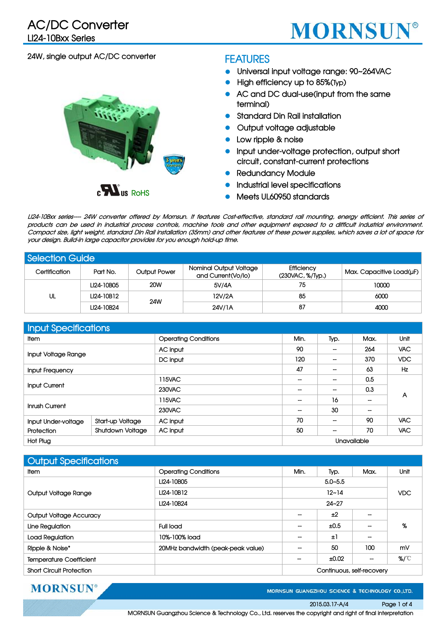

## **24W, single output AC/DC converter**



#### **FEATURES**

- z **Universal input voltage range: 90~264VAC**
- **High efficiency up to 85%(Typ)**
- z **AC and DC dual-use(input from the same terminal)**
- z **Standard Din Rail installation**
- **Output voltage adjustable**
- Low ripple & noise
- z **Input under-voltage protection, output short circuit, constant-current protections**
- **Redundancy Module**
- z **Industrial level specifications**
- z **Meets UL60950 standards**

LI24-10Bxx series--- 24W converter offered by Mornsun. It features Cost-effective, standard rail mounting, energy efficient. This series of products can be used in industrial process controls, machine tools and other equipment exposed to a difficult industrial environment. Compact size, light weight, standard Din Rail installation (35mm) and other features of these power supplies, which saves a lot of space for **your design. Build-in large capacitor provides for you enough hold-up time.**

| <b>Selection Guide</b> |            |                     |                                              |                                        |                          |  |  |  |
|------------------------|------------|---------------------|----------------------------------------------|----------------------------------------|--------------------------|--|--|--|
| Certification          | Part No.   | <b>Output Power</b> | Nominal Output Voltage<br>and Current(Vo/lo) | <b>Efficiency</b><br>(230VAC, %/Type.) | Max. Capacitive Load(uF) |  |  |  |
| UL                     | LI24-10B05 | <b>20W</b>          | 5V/4A                                        | 75                                     | 10000                    |  |  |  |
|                        | LI24-10B12 | 24W                 | 12V/2A                                       | 85                                     | 6000                     |  |  |  |
|                        | LI24-10B24 |                     | 24V/1A                                       | 87                                     | 4000                     |  |  |  |

| Input Specifications |                         |                             |      |             |      |            |
|----------------------|-------------------------|-----------------------------|------|-------------|------|------------|
| <b>Item</b>          |                         | <b>Operating Conditions</b> | Min. | Typ.        | Max. | Unit       |
| Input Voltage Range  |                         | AC input                    | 90   |             | 264  | <b>VAC</b> |
|                      |                         | DC input                    | 120  |             | 370  | <b>VDC</b> |
| Input Frequency      |                         |                             | 47   | --          | 63   | <b>Hz</b>  |
| <b>Input Current</b> |                         | 115VAC                      | --   | --          | 0.5  | A          |
|                      |                         | 230VAC                      | --   |             | 0.3  |            |
| Inrush Current       |                         | 115VAC                      | --   | 16          |      |            |
|                      |                         | 230VAC                      | --   | 30          |      |            |
| Input Under-voltage  | Start-up Voltage        | AC input                    | 70   | --          | 90   | <b>VAC</b> |
| Protection           | <b>Shutdown Voltage</b> | AC input                    | 50   | --          | 70   | <b>VAC</b> |
| <b>Hot Plug</b>      |                         |                             |      | Unavailable |      |            |

| <b>Output Specifications</b>    |                                   |             |                           |      |      |
|---------------------------------|-----------------------------------|-------------|---------------------------|------|------|
| <b>Item</b>                     | <b>Operating Conditions</b>       | Min.        | Typ.                      | Max. | Unit |
|                                 | LI24-10B05                        | $5.0 - 5.5$ |                           |      |      |
| Output Voltage Range            | LI24-10B12                        |             | $12 - 14$                 |      |      |
|                                 | $24 - 27$<br>LI24-10B24           |             |                           |      |      |
| <b>Output Voltage Accuracy</b>  |                                   |             | ±2                        |      |      |
| Line Regulation                 | <b>Full load</b>                  |             | ±0.5                      |      | %    |
| Load Regulation                 | 10%-100% load                     |             | Ξl                        |      |      |
| Ripple & Noise*                 | 20MHz bandwidth (peak-peak value) |             | 50                        | 100  | mV   |
| <b>Temperature Coefficient</b>  |                                   |             | ±0.02                     | --   | %/℃  |
| <b>Short Circuit Protection</b> |                                   |             | Continuous, self-recovery |      |      |

**MORNSUN®** 

MORNSUN GUANGZHOU SCIENCE & TECHNOLOGY CO.,LTD.

#### **2015.03.17-A/4 Page 1 of 4**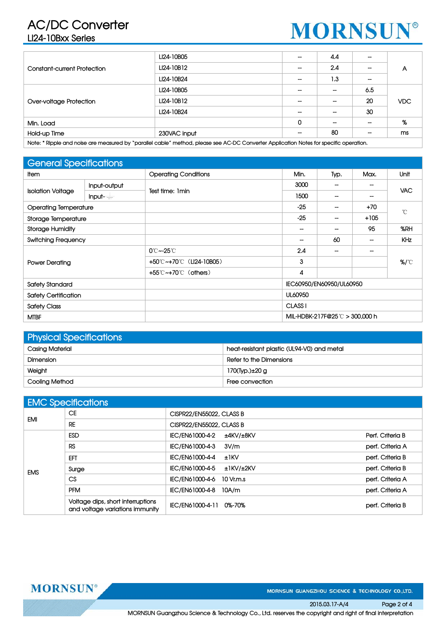# **AC/DC Converter**

# **LI24-10Bxx Series**



|                                    | LI24-10B05                                                                                                                              |   | 4.4                      |     |            |  |
|------------------------------------|-----------------------------------------------------------------------------------------------------------------------------------------|---|--------------------------|-----|------------|--|
| <b>Constant-current Protection</b> | LI24-10B12                                                                                                                              |   | 2.4                      |     | Α          |  |
|                                    | LI24-10B24                                                                                                                              |   | 1.3                      |     |            |  |
|                                    | LI24-10B05                                                                                                                              |   |                          | 6.5 |            |  |
| Over-voltage Protection            | LI24-10B12                                                                                                                              |   | --                       | 20  | <b>VDC</b> |  |
|                                    | LI24-10B24                                                                                                                              |   | --                       | 30  |            |  |
| Min. Load                          |                                                                                                                                         | 0 | $\overline{\phantom{a}}$ |     | %          |  |
| Hold-up Time                       | 230VAC input                                                                                                                            |   | 80                       |     | ms         |  |
|                                    | Note: * Dinnle and noise are money weal by "navallel eable" mothod please see AC DC Convertor Anglication Notes for specific enorgition |   |                          |     |            |  |

**Note: \* Ripple and noise are measured by "parallel cable" method, please see AC-DC Converter Application Notes for specific operation.**

## **General Specifications**

| <b>Sorioral oppositionist is</b> |              |                             |                                |                          |        |               |  |
|----------------------------------|--------------|-----------------------------|--------------------------------|--------------------------|--------|---------------|--|
| <b>Item</b>                      |              | <b>Operating Conditions</b> | Min.                           | Typ.                     | Max.   | Unit          |  |
| <b>Isolation Voltage</b>         | Input-output | Test time: 1 min            | 3000                           |                          |        | <b>VAC</b>    |  |
|                                  | $Input =$    |                             | 1500                           | $\overline{\phantom{a}}$ | --     |               |  |
| <b>Operating Temperature</b>     |              |                             | $-25$                          |                          | $+70$  | $^{\circ}$ C  |  |
| Storage Temperature              |              |                             | $-25$                          | $\overline{\phantom{a}}$ | $+105$ |               |  |
| <b>Storage Humidity</b>          |              |                             |                                |                          | 95     | %RH           |  |
| <b>Switching Frequency</b>       |              |                             |                                | 60                       |        | KHz           |  |
| <b>Power Derating</b>            |              | $0^\circ$ C ~-25 $^\circ$ C | 2.4                            | --                       |        | $\frac{9}{2}$ |  |
|                                  |              | +50℃~+70℃ (LI24-10B05)      | 3                              |                          |        |               |  |
|                                  |              | +55°C~+70°C (others)        | 4                              |                          |        |               |  |
| <b>Safety Standard</b>           |              |                             | IEC60950/EN60950/UL60950       |                          |        |               |  |
| <b>Safety Certification</b>      |              |                             | UL60950                        |                          |        |               |  |
| <b>Safety Class</b>              |              |                             | CLASS <sub>I</sub>             |                          |        |               |  |
| <b>MTBF</b>                      |              |                             | MIL-HDBK-217F@25 ℃ > 300.000 h |                          |        |               |  |

| <b>Physical Specifications</b> |                                            |  |  |  |  |  |
|--------------------------------|--------------------------------------------|--|--|--|--|--|
| Casing Material                | heat-resistant plastic (UL94-V0) and metal |  |  |  |  |  |
| Dimension                      | Refer to the Dimensions                    |  |  |  |  |  |
| Weight                         | 170(Typ.)±20 g                             |  |  |  |  |  |
| Cooling Method                 | Free convection                            |  |  |  |  |  |

| <b>EMC Specifications</b> |                                                                      |                              |                  |  |  |  |
|---------------------------|----------------------------------------------------------------------|------------------------------|------------------|--|--|--|
| <b>EMI</b>                | <b>CE</b>                                                            | CISPR22/EN55022, CLASS B     |                  |  |  |  |
|                           | RE                                                                   | CISPR22/EN55022, CLASS B     |                  |  |  |  |
| <b>EMS</b>                | <b>ESD</b>                                                           | IEC/EN61000-4-2<br>±4KV/±8KV | Perf. Criteria B |  |  |  |
|                           | <b>RS</b>                                                            | IEC/EN61000-4-3<br>3V/m      | perf. Criteria A |  |  |  |
|                           | EFT                                                                  | IEC/EN61000-4-4<br>±1kV      | perf. Criteria B |  |  |  |
|                           | Surge                                                                | IEC/EN61000-4-5<br>±1KV/±2KV | perf. Criteria B |  |  |  |
|                           | CS                                                                   | IEC/EN61000-4-6<br>10 Vr.m.s | perf. Criteria A |  |  |  |
|                           | <b>PFM</b>                                                           | IEC/EN61000-4-8<br>10A/m     | perf. Criteria A |  |  |  |
|                           | Voltage dips, short interruptions<br>and voltage variations immunity | IEC/EN61000-4-11 0%-70%      | perf. Criteria B |  |  |  |

**MORNSUN** 

MORNSUN GUANGZHOU SCIENCE & TECHNOLOGY CO.,LTD.

**2015.03.17-A/4 Page 2 of 4**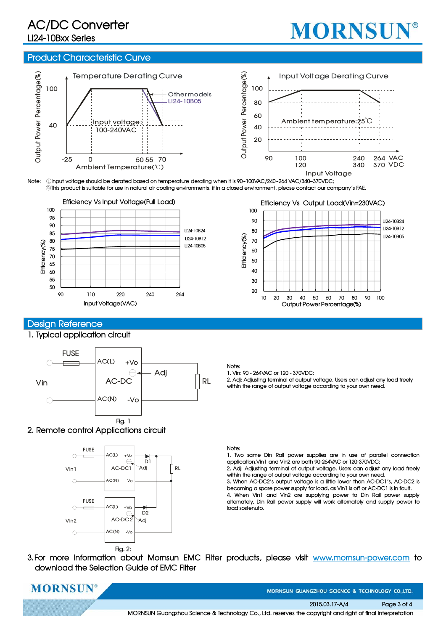# **AC/DC Converter**

# **LI24-10Bxx Series**

# **MORNSUN®**

#### **Product Characteristic Curve**



**Note:** ①**Input voltage should be derated based on temperature derating when it is 90~100VAC/240~264 VAC/340~370VDC;** ②**This product is suitable for use in natural air cooling environments, if in a closed environment, please contact our company's FAE.**



### **Design Reference**

#### **1. Typical application circuit**



#### **2. Remote control Applications circuit**



#### **Efficiency Vs Output Load(Vin=230VAC)**



**Note:**

**1. Vin: 90 - 264VAC or 120 - 370VDC;**

**2. Adj: Adjusting terminal of output voltage. Users can adjust any load freely within the range of output voltage according to your own need.**

#### **Note:**

**1. Two same Din Rail power supplies are in use of parallel connection application,Vin1 and Vin2 are both 90-264VAC or 120-370VDC;**

**2. Adj: Adjusting terminal of output voltage. Users can adjust any load freely within the range of output voltage according to your own need.**

**3. When AC-DC2's output voltage is a little lower than AC-DC1's, AC-DC2 is becoming a spare power supply for load, as Vin1 is off or AC-DC1 is in fault.**

**4. When Vin1 and Vin2 are supplying power to Din Rail power supply alternately, Din Rail power supply will work alternately and supply power to load sostenuto.**

**3.For more information about Mornsun EMC Filter products, please visit www.mornsun-power.com to download the Selection Guide of EMC Filter**



MORNSUN GUANGZHOU SCIENCE & TECHNOLOGY CO.,LTD

**2015.03.17-A/4 Page 3 of 4**